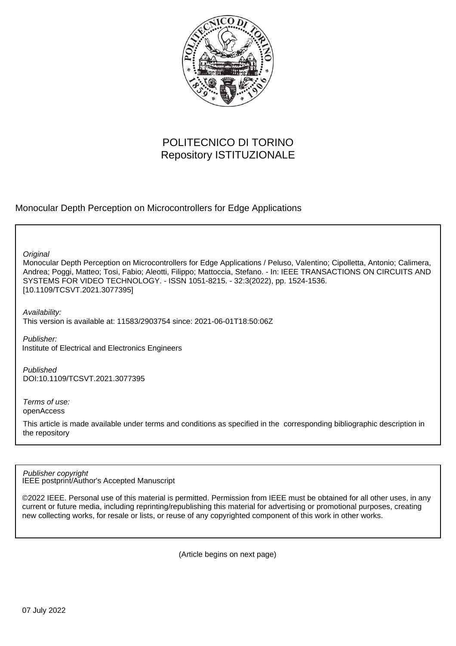

# POLITECNICO DI TORINO Repository ISTITUZIONALE

Monocular Depth Perception on Microcontrollers for Edge Applications

**Original** 

Monocular Depth Perception on Microcontrollers for Edge Applications / Peluso, Valentino; Cipolletta, Antonio; Calimera, Andrea; Poggi, Matteo; Tosi, Fabio; Aleotti, Filippo; Mattoccia, Stefano. - In: IEEE TRANSACTIONS ON CIRCUITS AND SYSTEMS FOR VIDEO TECHNOLOGY. - ISSN 1051-8215. - 32:3(2022), pp. 1524-1536. [10.1109/TCSVT.2021.3077395]

Availability: This version is available at: 11583/2903754 since: 2021-06-01T18:50:06Z

Publisher: Institute of Electrical and Electronics Engineers

Published DOI:10.1109/TCSVT.2021.3077395

Terms of use: openAccess

This article is made available under terms and conditions as specified in the corresponding bibliographic description in the repository

IEEE postprint/Author's Accepted Manuscript Publisher copyright

©2022 IEEE. Personal use of this material is permitted. Permission from IEEE must be obtained for all other uses, in any current or future media, including reprinting/republishing this material for advertising or promotional purposes, creating new collecting works, for resale or lists, or reuse of any copyrighted component of this work in other works.

(Article begins on next page)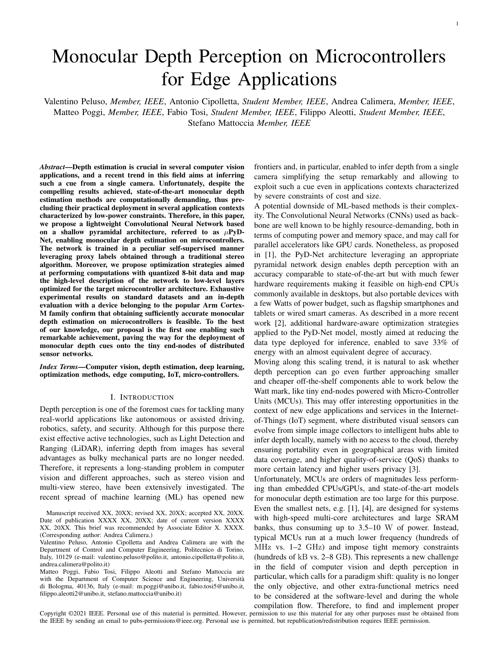# Monocular Depth Perception on Microcontrollers for Edge Applications

Valentino Peluso, *Member, IEEE*, Antonio Cipolletta, *Student Member, IEEE*, Andrea Calimera, *Member, IEEE*, Matteo Poggi, *Member, IEEE*, Fabio Tosi, *Student Member, IEEE*, Filippo Aleotti, *Student Member, IEEE*, Stefano Mattoccia *Member, IEEE*

*Abstract*—Depth estimation is crucial in several computer vision applications, and a recent trend in this field aims at inferring such a cue from a single camera. Unfortunately, despite the compelling results achieved, state-of-the-art monocular depth estimation methods are computationally demanding, thus precluding their practical deployment in several application contexts characterized by low-power constraints. Therefore, in this paper, we propose a lightweight Convolutional Neural Network based on a shallow pyramidal architecture, referred to as  $\mu$ PyD-Net, enabling monocular depth estimation on microcontrollers. The network is trained in a peculiar self-supervised manner leveraging proxy labels obtained through a traditional stereo algorithm. Moreover, we propose optimization strategies aimed at performing computations with quantized 8-bit data and map the high-level description of the network to low-level layers optimized for the target microcontroller architecture. Exhaustive experimental results on standard datasets and an in-depth evaluation with a device belonging to the popular Arm Cortex-M family confirm that obtaining sufficiently accurate monocular depth estimation on microcontrollers is feasible. To the best of our knowledge, our proposal is the first one enabling such remarkable achievement, paving the way for the deployment of monocular depth cues onto the tiny end-nodes of distributed sensor networks.

*Index Terms*—Computer vision, depth estimation, deep learning, optimization methods, edge computing, IoT, micro-controllers.

### I. INTRODUCTION

Depth perception is one of the foremost cues for tackling many real-world applications like autonomous or assisted driving, robotics, safety, and security. Although for this purpose there exist effective active technologies, such as Light Detection and Ranging (LiDAR), inferring depth from images has several advantages as bulky mechanical parts are no longer needed. Therefore, it represents a long-standing problem in computer vision and different approaches, such as stereo vision and multi-view stereo, have been extensively investigated. The recent spread of machine learning (ML) has opened new frontiers and, in particular, enabled to infer depth from a single camera simplifying the setup remarkably and allowing to exploit such a cue even in applications contexts characterized by severe constraints of cost and size.

A potential downside of ML-based methods is their complexity. The Convolutional Neural Networks (CNNs) used as backbone are well known to be highly resource-demanding, both in terms of computing power and memory space, and may call for parallel accelerators like GPU cards. Nonetheless, as proposed in [1], the PyD-Net architecture leveraging an appropriate pyramidal network design enables depth perception with an accuracy comparable to state-of-the-art but with much fewer hardware requirements making it feasible on high-end CPUs commonly available in desktops, but also portable devices with a few Watts of power budget, such as flagship smartphones and tablets or wired smart cameras. As described in a more recent work [2], additional hardware-aware optimization strategies applied to the PyD-Net model, mostly aimed at reducing the data type deployed for inference, enabled to save 33% of energy with an almost equivalent degree of accuracy.

Moving along this scaling trend, it is natural to ask whether depth perception can go even further approaching smaller and cheaper off-the-shelf components able to work below the Watt mark, like tiny end-nodes powered with Micro-Controller Units (MCUs). This may offer interesting opportunities in the context of new edge applications and services in the Internetof-Things (IoT) segment, where distributed visual sensors can evolve from simple image collectors to intelligent hubs able to infer depth locally, namely with no access to the cloud, thereby ensuring portability even in geographical areas with limited data coverage, and higher quality-of-service (QoS) thanks to more certain latency and higher users privacy [3].

Unfortunately, MCUs are orders of magnitudes less performing than embedded CPUs/GPUs, and state-of-the-art models for monocular depth estimation are too large for this purpose. Even the smallest nets, e.g. [1], [4], are designed for systems with high-speed multi-core architectures and large SRAM banks, thus consuming up to 3.5–10 W of power. Instead, typical MCUs run at a much lower frequency (hundreds of MHz vs. 1–2 GHz) and impose tight memory constraints (hundreds of kB vs. 2–8 GB). This represents a new challenge in the field of computer vision and depth perception in particular, which calls for a paradigm shift: quality is no longer the only objective, and other extra-functional metrics need to be considered at the software-level and during the whole compilation flow. Therefore, to find and implement proper

Copyright ©2021 IEEE. Personal use of this material is permitted. However, permission to use this material for any other purposes must be obtained from the IEEE by sending an email to pubs-permissions@ieee.org. Personal use is permitted, but republication/redistribution requires IEEE permission.

Manuscript received XX, 20XX; revised XX, 20XX; accepted XX, 20XX. Date of publication XXXX XX, 20XX; date of current version XXXX XX, 20XX. This brief was recommended by Associate Editor X. XXXX. (Corresponding author: Andrea Calimera.)

Valentino Peluso, Antonio Cipolletta and Andrea Calimera are with the Department of Control and Computer Engineering, Politecnico di Torino, Italy, 10129 (e-mail: valentino.peluso@polito.it, antonio.cipolletta@polito.it, andrea.calimera@polito.it)

Matteo Poggi, Fabio Tosi, Filippo Aleotti and Stefano Mattoccia are with the Department of Computer Science and Engineering, Università di Bologma, 40136, Italy (e-mail: m.poggi@unibo.it, fabio.tosi5@unibo.it, filippo.aleotti2@unibo.it, stefano.mattoccia@unibo.it)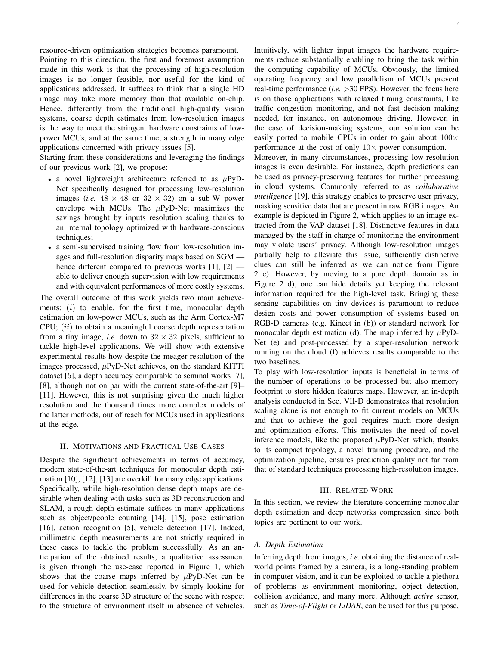resource-driven optimization strategies becomes paramount. Pointing to this direction, the first and foremost assumption made in this work is that the processing of high-resolution images is no longer feasible, nor useful for the kind of applications addressed. It suffices to think that a single HD image may take more memory than that available on-chip. Hence, differently from the traditional high-quality vision systems, coarse depth estimates from low-resolution images is the way to meet the stringent hardware constraints of lowpower MCUs, and at the same time, a strength in many edge applications concerned with privacy issues [5].

Starting from these considerations and leveraging the findings of our previous work [2], we propose:

- a novel lightweight architecture referred to as  $\mu$ PyD-Net specifically designed for processing low-resolution images (*i.e.*  $48 \times 48$  or  $32 \times 32$ ) on a sub-W power envelope with MCUs. The  $\mu$ PyD-Net maximizes the savings brought by inputs resolution scaling thanks to an internal topology optimized with hardware-conscious techniques;
- a semi-supervised training flow from low-resolution images and full-resolution disparity maps based on SGM hence different compared to previous works [1], [2] able to deliver enough supervision with low requirements and with equivalent performances of more costly systems.

The overall outcome of this work yields two main achievements:  $(i)$  to enable, for the first time, monocular depth estimation on low-power MCUs, such as the Arm Cortex-M7 CPU;  $(ii)$  to obtain a meaningful coarse depth representation from a tiny image, *i.e.* down to  $32 \times 32$  pixels, sufficient to tackle high-level applications. We will show with extensive experimental results how despite the meager resolution of the images processed,  $\mu$ PyD-Net achieves, on the standard KITTI dataset [6], a depth accuracy comparable to seminal works [7], [8], although not on par with the current state-of-the-art [9]– [11]. However, this is not surprising given the much higher resolution and the thousand times more complex models of the latter methods, out of reach for MCUs used in applications at the edge.

#### II. MOTIVATIONS AND PRACTICAL USE-CASES

Despite the significant achievements in terms of accuracy, modern state-of-the-art techniques for monocular depth estimation [10], [12], [13] are overkill for many edge applications. Specifically, while high-resolution dense depth maps are desirable when dealing with tasks such as 3D reconstruction and SLAM, a rough depth estimate suffices in many applications such as object/people counting [14], [15], pose estimation [16], action recognition [5], vehicle detection [17]. Indeed, millimetric depth measurements are not strictly required in these cases to tackle the problem successfully. As an anticipation of the obtained results, a qualitative assessment is given through the use-case reported in Figure 1, which shows that the coarse maps inferred by  $\mu$ PyD-Net can be used for vehicle detection seamlessly, by simply looking for differences in the coarse 3D structure of the scene with respect to the structure of environment itself in absence of vehicles. Intuitively, with lighter input images the hardware requirements reduce substantially enabling to bring the task within the computing capability of MCUs. Obviously, the limited operating frequency and low parallelism of MCUs prevent real-time performance (*i.e.* >30 FPS). However, the focus here is on those applications with relaxed timing constraints, like traffic congestion monitoring, and not fast decision making needed, for instance, on autonomous driving. However, in the case of decision-making systems, our solution can be easily ported to mobile CPUs in order to gain about  $100 \times$ performance at the cost of only  $10\times$  power consumption.

Moreover, in many circumstances, processing low-resolution images is even desirable. For instance, depth predictions can be used as privacy-preserving features for further processing in cloud systems. Commonly referred to as *collaborative intelligence* [19], this strategy enables to preserve user privacy, masking sensitive data that are present in raw RGB images. An example is depicted in Figure 2, which applies to an image extracted from the VAP dataset [18]. Distinctive features in data managed by the staff in charge of monitoring the environment may violate users' privacy. Although low-resolution images partially help to alleviate this issue, sufficiently distinctive clues can still be inferred as we can notice from Figure 2 c). However, by moving to a pure depth domain as in Figure 2 d), one can hide details yet keeping the relevant information required for the high-level task. Bringing these sensing capabilities on tiny devices is paramount to reduce design costs and power consumption of systems based on RGB-D cameras (e.g. Kinect in (b)) or standard network for monocular depth estimation (d). The map inferred by  $\mu$ PyD-Net (e) and post-processed by a super-resolution network running on the cloud (f) achieves results comparable to the two baselines.

To play with low-resolution inputs is beneficial in terms of the number of operations to be processed but also memory footprint to store hidden features maps. However, an in-depth analysis conducted in Sec. VII-D demonstrates that resolution scaling alone is not enough to fit current models on MCUs and that to achieve the goal requires much more design and optimization efforts. This motivates the need of novel inference models, like the proposed  $\mu$ PyD-Net which, thanks to its compact topology, a novel training procedure, and the optimization pipeline, ensures prediction quality not far from that of standard techniques processing high-resolution images.

#### III. RELATED WORK

In this section, we review the literature concerning monocular depth estimation and deep networks compression since both topics are pertinent to our work.

#### *A. Depth Estimation*

Inferring depth from images, *i.e.* obtaining the distance of realworld points framed by a camera, is a long-standing problem in computer vision, and it can be exploited to tackle a plethora of problems as environment monitoring, object detection, collision avoidance, and many more. Although *active* sensor, such as *Time-of-Flight* or *LiDAR*, can be used for this purpose,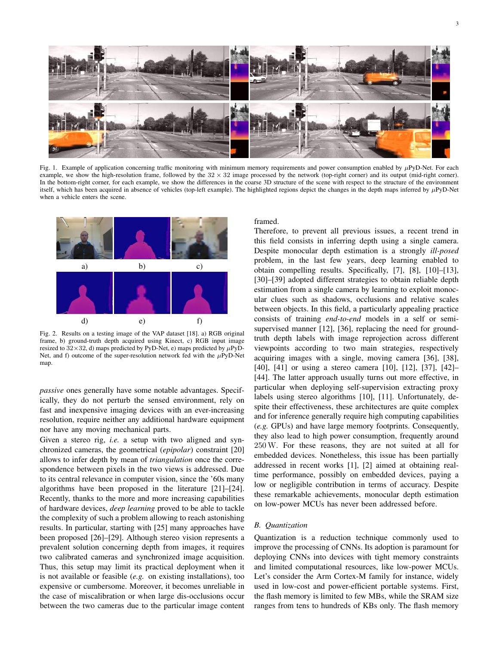

Fig. 1. Example of application concerning traffic monitoring with minimum memory requirements and power consumption enabled by  $\mu$ PyD-Net. For each example, we show the high-resolution frame, followed by the  $32 \times 32$  image processed by the network (top-right corner) and its output (mid-right corner). In the bottom-right corner, for each example, we show the differences in the coarse 3D structure of the scene with respect to the structure of the environment itself, which has been acquired in absence of vehicles (top-left example). The highlighted regions depict the changes in the depth maps inferred by  $\mu$ PyD-Net when a vehicle enters the scene.



Fig. 2. Results on a testing image of the VAP dataset [18]. a) RGB original frame, b) ground-truth depth acquired using Kinect, c) RGB input image resized to  $32 \times 32$ , d) maps predicted by PyD-Net, e) maps predicted by  $\mu$ PyD-Net, and f) outcome of the super-resolution network fed with the  $\mu$ PyD-Net map.

*passive* ones generally have some notable advantages. Specifically, they do not perturb the sensed environment, rely on fast and inexpensive imaging devices with an ever-increasing resolution, require neither any additional hardware equipment nor have any moving mechanical parts.

Given a stereo rig, *i.e.* a setup with two aligned and synchronized cameras, the geometrical (*epipolar*) constraint [20] allows to infer depth by mean of *triangulation* once the correspondence between pixels in the two views is addressed. Due to its central relevance in computer vision, since the '60s many algorithms have been proposed in the literature [21]–[24]. Recently, thanks to the more and more increasing capabilities of hardware devices, *deep learning* proved to be able to tackle the complexity of such a problem allowing to reach astonishing results. In particular, starting with [25] many approaches have been proposed [26]–[29]. Although stereo vision represents a prevalent solution concerning depth from images, it requires two calibrated cameras and synchronized image acquisition. Thus, this setup may limit its practical deployment when it is not available or feasible (*e.g.* on existing installations), too expensive or cumbersome. Moreover, it becomes unreliable in the case of miscalibration or when large dis-occlusions occur between the two cameras due to the particular image content

#### framed.

Therefore, to prevent all previous issues, a recent trend in this field consists in inferring depth using a single camera. Despite monocular depth estimation is a strongly *ill-posed* problem, in the last few years, deep learning enabled to obtain compelling results. Specifically, [7], [8], [10]–[13], [30]–[39] adopted different strategies to obtain reliable depth estimation from a single camera by learning to exploit monocular clues such as shadows, occlusions and relative scales between objects. In this field, a particularly appealing practice consists of training *end-to-end* models in a self or semisupervised manner [12], [36], replacing the need for groundtruth depth labels with image reprojection across different viewpoints according to two main strategies, respectively acquiring images with a single, moving camera [36], [38], [40], [41] or using a stereo camera [10], [12], [37], [42]– [44]. The latter approach usually turns out more effective, in particular when deploying self-supervision extracting proxy labels using stereo algorithms [10], [11]. Unfortunately, despite their effectiveness, these architectures are quite complex and for inference generally require high computing capabilities (*e.g.* GPUs) and have large memory footprints. Consequently, they also lead to high power consumption, frequently around 250W. For these reasons, they are not suited at all for embedded devices. Nonetheless, this issue has been partially addressed in recent works [1], [2] aimed at obtaining realtime performance, possibly on embedded devices, paying a low or negligible contribution in terms of accuracy. Despite these remarkable achievements, monocular depth estimation on low-power MCUs has never been addressed before.

# *B. Quantization*

Quantization is a reduction technique commonly used to improve the processing of CNNs. Its adoption is paramount for deploying CNNs into devices with tight memory constraints and limited computational resources, like low-power MCUs. Let's consider the Arm Cortex-M family for instance, widely used in low-cost and power-efficient portable systems. First, the flash memory is limited to few MBs, while the SRAM size ranges from tens to hundreds of KBs only. The flash memory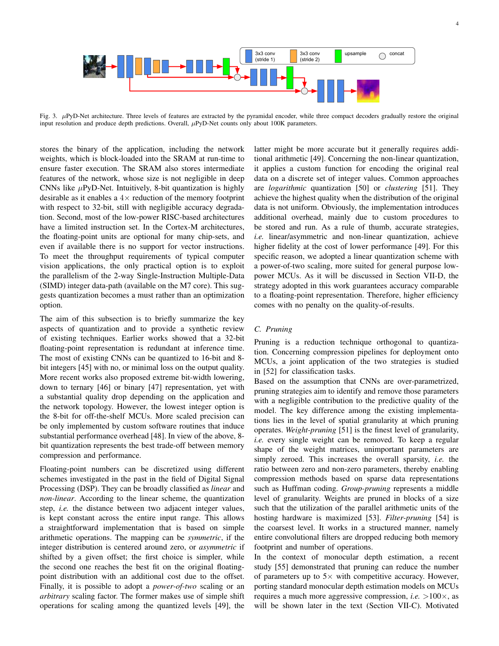

Fig. 3. µPyD-Net architecture. Three levels of features are extracted by the pyramidal encoder, while three compact decoders gradually restore the original input resolution and produce depth predictions. Overall,  $\mu$ PyD-Net counts only about 100K parameters.

stores the binary of the application, including the network weights, which is block-loaded into the SRAM at run-time to ensure faster execution. The SRAM also stores intermediate features of the network, whose size is not negligible in deep CNNs like  $\mu$ PyD-Net. Intuitively, 8-bit quantization is highly desirable as it enables a  $4 \times$  reduction of the memory footprint with respect to 32-bit, still with negligible accuracy degradation. Second, most of the low-power RISC-based architectures have a limited instruction set. In the Cortex-M architectures, the floating-point units are optional for many chip-sets, and even if available there is no support for vector instructions. To meet the throughput requirements of typical computer vision applications, the only practical option is to exploit the parallelism of the 2-way Single-Instruction Multiple-Data (SIMD) integer data-path (available on the M7 core). This suggests quantization becomes a must rather than an optimization option.

The aim of this subsection is to briefly summarize the key aspects of quantization and to provide a synthetic review of existing techniques. Earlier works showed that a 32-bit floating-point representation is redundant at inference time. The most of existing CNNs can be quantized to 16-bit and 8 bit integers [45] with no, or minimal loss on the output quality. More recent works also proposed extreme bit-width lowering, down to ternary [46] or binary [47] representation, yet with a substantial quality drop depending on the application and the network topology. However, the lowest integer option is the 8-bit for off-the-shelf MCUs. More scaled precision can be only implemented by custom software routines that induce substantial performance overhead [48]. In view of the above, 8 bit quantization represents the best trade-off between memory compression and performance.

Floating-point numbers can be discretized using different schemes investigated in the past in the field of Digital Signal Processing (DSP). They can be broadly classified as *linear* and *non-linear*. According to the linear scheme, the quantization step, *i.e.* the distance between two adjacent integer values, is kept constant across the entire input range. This allows a straightforward implementation that is based on simple arithmetic operations. The mapping can be *symmetric*, if the integer distribution is centered around zero, or *asymmetric* if shifted by a given offset; the first choice is simpler, while the second one reaches the best fit on the original floatingpoint distribution with an additional cost due to the offset. Finally, it is possible to adopt a *power-of-two* scaling or an *arbitrary* scaling factor. The former makes use of simple shift operations for scaling among the quantized levels [49], the

latter might be more accurate but it generally requires additional arithmetic [49]. Concerning the non-linear quantization, it applies a custom function for encoding the original real data on a discrete set of integer values. Common approaches are *logarithmic* quantization [50] or *clustering* [51]. They achieve the highest quality when the distribution of the original data is not uniform. Obviously, the implementation introduces additional overhead, mainly due to custom procedures to be stored and run. As a rule of thumb, accurate strategies, *i.e.* linear/asymmetric and non-linear quantization, achieve higher fidelity at the cost of lower performance [49]. For this specific reason, we adopted a linear quantization scheme with a power-of-two scaling, more suited for general purpose lowpower MCUs. As it will be discussed in Section VII-D, the strategy adopted in this work guarantees accuracy comparable to a floating-point representation. Therefore, higher efficiency comes with no penalty on the quality-of-results.

#### *C. Pruning*

Pruning is a reduction technique orthogonal to quantization. Concerning compression pipelines for deployment onto MCUs, a joint application of the two strategies is studied in [52] for classification tasks.

Based on the assumption that CNNs are over-parametrized, pruning strategies aim to identify and remove those parameters with a negligible contribution to the predictive quality of the model. The key difference among the existing implementations lies in the level of spatial granularity at which pruning operates. *Weight-pruning* [51] is the finest level of granularity, *i.e.* every single weight can be removed. To keep a regular shape of the weight matrices, unimportant parameters are simply zeroed. This increases the overall sparsity, *i.e.* the ratio between zero and non-zero parameters, thereby enabling compression methods based on sparse data representations such as Huffman coding. *Group-pruning* represents a middle level of granularity. Weights are pruned in blocks of a size such that the utilization of the parallel arithmetic units of the hosting hardware is maximized [53]. *Filter-pruning* [54] is the coarsest level. It works in a structured manner, namely entire convolutional filters are dropped reducing both memory footprint and number of operations.

In the context of monocular depth estimation, a recent study [55] demonstrated that pruning can reduce the number of parameters up to  $5\times$  with competitive accuracy. However, porting standard monocular depth estimation models on MCUs requires a much more aggressive compression, *i.e.* >100×, as will be shown later in the text (Section VII-C). Motivated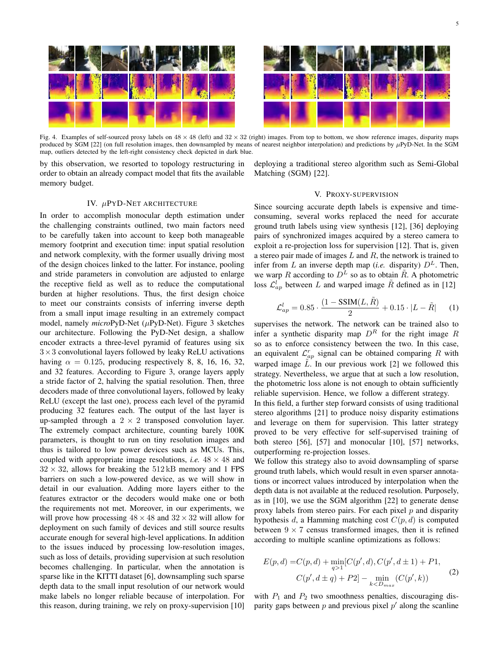

Fig. 4. Examples of self-sourced proxy labels on  $48 \times 48$  (left) and  $32 \times 32$  (right) images. From top to bottom, we show reference images, disparity maps produced by SGM [22] (on full resolution images, then downsampled by means of nearest neighbor interpolation) and predictions by  $\mu$ PyD-Net. In the SGM map, outliers detected by the left-right consistency check depicted in dark blue.

by this observation, we resorted to topology restructuring in order to obtain an already compact model that fits the available memory budget.

deploying a traditional stereo algorithm such as Semi-Global Matching (SGM) [22].

# IV. µPYD-NET ARCHITECTURE

In order to accomplish monocular depth estimation under the challenging constraints outlined, two main factors need to be carefully taken into account to keep both manageable memory footprint and execution time: input spatial resolution and network complexity, with the former usually driving most of the design choices linked to the latter. For instance, pooling and stride parameters in convolution are adjusted to enlarge the receptive field as well as to reduce the computational burden at higher resolutions. Thus, the first design choice to meet our constraints consists of inferring inverse depth from a small input image resulting in an extremely compact model, namely *micro*PyD-Net (µPyD-Net). Figure 3 sketches our architecture. Following the PyD-Net design, a shallow encoder extracts a three-level pyramid of features using six  $3\times3$  convolutional layers followed by leaky ReLU activations having  $\alpha = 0.125$ , producing respectively 8, 8, 16, 16, 32, and 32 features. According to Figure 3, orange layers apply a stride factor of 2, halving the spatial resolution. Then, three decoders made of three convolutional layers, followed by leaky ReLU (except the last one), process each level of the pyramid producing 32 features each. The output of the last layer is up-sampled through a  $2 \times 2$  transposed convolution layer. The extremely compact architecture, counting barely 100K parameters, is thought to run on tiny resolution images and thus is tailored to low power devices such as MCUs. This, coupled with appropriate image resolutions, *i.e.*  $48 \times 48$  and  $32 \times 32$ , allows for breaking the  $512 \text{ kB}$  memory and 1 FPS barriers on such a low-powered device, as we will show in detail in our evaluation. Adding more layers either to the features extractor or the decoders would make one or both the requirements not met. Moreover, in our experiments, we will prove how processing  $48 \times 48$  and  $32 \times 32$  will allow for deployment on such family of devices and still source results accurate enough for several high-level applications. In addition to the issues induced by processing low-resolution images, such as loss of details, providing supervision at such resolution becomes challenging. In particular, when the annotation is sparse like in the KITTI dataset [6], downsampling such sparse depth data to the small input resolution of our network would make labels no longer reliable because of interpolation. For this reason, during training, we rely on proxy-supervision [10]

# V. PROXY-SUPERVISION

Since sourcing accurate depth labels is expensive and timeconsuming, several works replaced the need for accurate ground truth labels using view synthesis [12], [36] deploying pairs of synchronized images acquired by a stereo camera to exploit a re-projection loss for supervision [12]. That is, given a stereo pair made of images  $L$  and  $R$ , the network is trained to infer from L an inverse depth map (*i.e.* disparity)  $D<sup>L</sup>$ . Then, we warp R according to  $D^L$  so as to obtain  $\tilde{R}$ . A photometric loss  $\mathcal{L}_{ap}^{l}$  between L and warped image  $\tilde{R}$  defined as in [12]

$$
\mathcal{L}_{ap}^{l} = 0.85 \cdot \frac{(1 - \text{SSIM}(L, \tilde{R})}{2} + 0.15 \cdot |L - \tilde{R}| \qquad (1)
$$

supervises the network. The network can be trained also to infer a synthetic disparity map  $D<sup>R</sup>$  for the right image R so as to enforce consistency between the two. In this case, an equivalent  $\mathcal{L}_{ap}^r$  signal can be obtained comparing R with warped image  $\tilde{L}$ . In our previous work [2] we followed this strategy. Nevertheless, we argue that at such a low resolution, the photometric loss alone is not enough to obtain sufficiently reliable supervision. Hence, we follow a different strategy.

In this field, a further step forward consists of using traditional stereo algorithms [21] to produce noisy disparity estimations and leverage on them for supervision. This latter strategy proved to be very effective for self-supervised training of both stereo [56], [57] and monocular [10], [57] networks, outperforming re-projection losses.

We follow this strategy also to avoid downsampling of sparse ground truth labels, which would result in even sparser annotations or incorrect values introduced by interpolation when the depth data is not available at the reduced resolution. Purposely, as in [10], we use the SGM algorithm [22] to generate dense proxy labels from stereo pairs. For each pixel  $p$  and disparity hypothesis d, a Hamming matching cost  $C(p, d)$  is computed between  $9 \times 7$  census transformed images, then it is refined according to multiple scanline optimizations as follows:

$$
E(p,d) = C(p,d) + \min_{q>1} [C(p',d), C(p',d \pm 1) + P1,
$$
  
\n
$$
C(p',d \pm q) + P2] - \min_{k\n(2)
$$

with  $P_1$  and  $P_2$  two smoothness penalties, discouraging disparity gaps between  $p$  and previous pixel  $p'$  along the scanline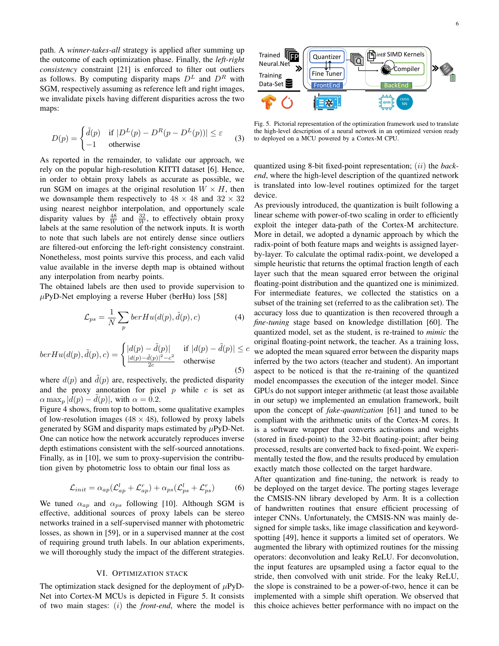path. A *winner-takes-all* strategy is applied after summing up the outcome of each optimization phase. Finally, the *left-right consistency* constraint [21] is enforced to filter out outliers as follows. By computing disparity maps  $D<sup>L</sup>$  and  $D<sup>R</sup>$  with SGM, respectively assuming as reference left and right images, we invalidate pixels having different disparities across the two maps:

$$
D(p) = \begin{cases} \tilde{d}(p) & \text{if } |D^L(p) - D^R(p - D^L(p))| \le \varepsilon \\ -1 & \text{otherwise} \end{cases}
$$
 (3)

As reported in the remainder, to validate our approach, we rely on the popular high-resolution KITTI dataset [6]. Hence, in order to obtain proxy labels as accurate as possible, we run SGM on images at the original resolution  $W \times H$ , then we downsample them respectively to  $48 \times 48$  and  $32 \times 32$ using nearest neighbor interpolation, and opportunely scale disparity values by  $\frac{48}{W}$  and  $\frac{32}{W}$ , to effectively obtain proxy labels at the same resolution of the network inputs. It is worth to note that such labels are not entirely dense since outliers are filtered-out enforcing the left-right consistency constraint. Nonetheless, most points survive this process, and each valid value available in the inverse depth map is obtained without any interpolation from nearby points.

The obtained labels are then used to provide supervision to  $\mu$ PyD-Net employing a reverse Huber (berHu) loss [58]

$$
\mathcal{L}_{ps} = \frac{1}{N} \sum_{p} berHu(d(p), \tilde{d}(p), c)
$$
 (4)

$$
berHu(d(p),\tilde{d}(p),c) = \begin{cases} |d(p) - \tilde{d}(p)| & \text{if } |d(p) - \tilde{d}(p)| \le c\\ \frac{|d(p) - \tilde{d}(p)|^2 - c^2}{2c} & \text{otherwise} \end{cases}
$$
(5)

where  $d(p)$  and  $\tilde{d}(p)$  are, respectively, the predicted disparity and the proxy annotation for pixel  $p$  while  $c$  is set as  $\alpha \max_{p} |d(p) - \tilde{d}(p)|$ , with  $\alpha = 0.2$ .

Figure 4 shows, from top to bottom, some qualitative examples of low-resolution images ( $48 \times 48$ ), followed by proxy labels generated by SGM and disparity maps estimated by  $\mu$ PyD-Net. One can notice how the network accurately reproduces inverse depth estimations consistent with the self-sourced annotations. Finally, as in [10], we sum to proxy-supervision the contribution given by photometric loss to obtain our final loss as

$$
\mathcal{L}_{init} = \alpha_{ap} (\mathcal{L}_{ap}^l + \mathcal{L}_{ap}^r) + \alpha_{ps} (\mathcal{L}_{ps}^l + \mathcal{L}_{ps}^r)
$$
(6)

We tuned  $\alpha_{ap}$  and  $\alpha_{ps}$  following [10]. Although SGM is effective, additional sources of proxy labels can be stereo networks trained in a self-supervised manner with photometric losses, as shown in [59], or in a supervised manner at the cost of requiring ground truth labels. In our ablation experiments, we will thoroughly study the impact of the different strategies.

#### VI. OPTIMIZATION STACK

The optimization stack designed for the deployment of  $\mu$ PyD-Net into Cortex-M MCUs is depicted in Figure 5. It consists of two main stages: (i) the *front-end*, where the model is



Fig. 5. Pictorial representation of the optimization framework used to translate the high-level description of a neural network in an optimized version ready to deployed on a MCU powered by a Cortex-M CPU.

quantized using 8-bit fixed-point representation; (ii) the *backend*, where the high-level description of the quantized network is translated into low-level routines optimized for the target device.

As previously introduced, the quantization is built following a linear scheme with power-of-two scaling in order to efficiently exploit the integer data-path of the Cortex-M architecture. More in detail, we adopted a dynamic approach by which the radix-point of both feature maps and weights is assigned layerby-layer. To calculate the optimal radix-point, we developed a simple heuristic that returns the optimal fraction length of each layer such that the mean squared error between the original floating-point distribution and the quantized one is minimized. For intermediate features, we collected the statistics on a subset of the training set (referred to as the calibration set). The accuracy loss due to quantization is then recovered through a *fine-tuning* stage based on knowledge distillation [60]. The quantized model, set as the student, is re-trained to *mimic* the original floating-point network, the teacher. As a training loss, we adopted the mean squared error between the disparity maps inferred by the two actors (teacher and student). An important aspect to be noticed is that the re-training of the quantized model encompasses the execution of the integer model. Since GPUs do not support integer arithmetic (at least those available in our setup) we implemented an emulation framework, built upon the concept of *fake-quantization* [61] and tuned to be compliant with the arithmetic units of the Cortex-M cores. It is a software wrapper that converts activations and weights (stored in fixed-point) to the 32-bit floating-point; after being processed, results are converted back to fixed-point. We experimentally tested the flow, and the results produced by emulation exactly match those collected on the target hardware.

After quantization and fine-tuning, the network is ready to be deployed on the target device. The porting stages leverage the CMSIS-NN library developed by Arm. It is a collection of handwritten routines that ensure efficient processing of integer CNNs. Unfortunately, the CMSIS-NN was mainly designed for simple tasks, like image classification and keywordspotting [49], hence it supports a limited set of operators. We augmented the library with optimized routines for the missing operators: deconvolution and leaky ReLU. For deconvolution, the input features are upsampled using a factor equal to the stride, then convolved with unit stride. For the leaky ReLU, the slope is constrained to be a power-of-two, hence it can be implemented with a simple shift operation. We observed that this choice achieves better performance with no impact on the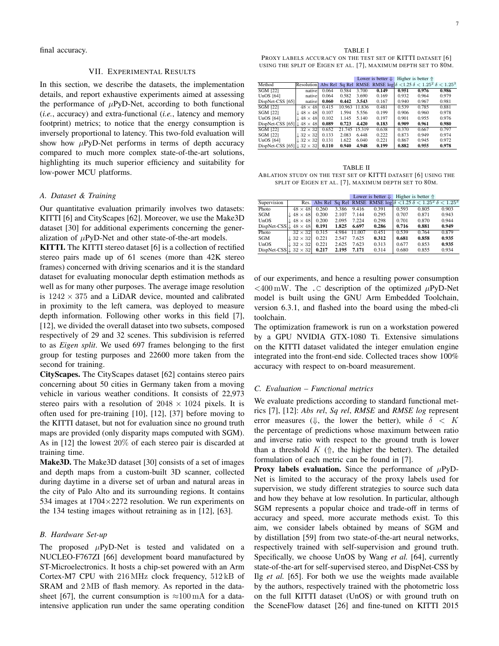final accuracy.

# VII. EXPERIMENTAL RESULTS

In this section, we describe the datasets, the implementation details, and report exhaustive experiments aimed at assessing the performance of  $\mu$ PyD-Net, according to both functional (*i.e.*, accuracy) and extra-functional (*i.e.*, latency and memory footprint) metrics; to notice that the energy consumption is inversely proportional to latency. This two-fold evaluation will show how  $\mu$ PyD-Net performs in terms of depth accuracy compared to much more complex state-of-the-art solutions, highlighting its much superior efficiency and suitability for low-power MCU platforms.

#### *A. Dataset & Training*

Our quantitative evaluation primarily involves two datasets: KITTI [6] and CityScapes [62]. Moreover, we use the Make3D dataset [30] for additional experiments concerning the generalization of  $\mu$ PyD-Net and other state-of-the-art models.

KITTI. The KITTI stereo dataset [6] is a collection of rectified stereo pairs made up of 61 scenes (more than 42K stereo frames) concerned with driving scenarios and it is the standard dataset for evaluating monocular depth estimation methods as well as for many other purposes. The average image resolution is  $1242 \times 375$  and a LiDAR device, mounted and calibrated in proximity to the left camera, was deployed to measure depth information. Following other works in this field [7], [12], we divided the overall dataset into two subsets, composed respectively of 29 and 32 scenes. This subdivision is referred to as *Eigen split*. We used 697 frames belonging to the first group for testing purposes and 22600 more taken from the second for training.

CityScapes. The CityScapes dataset [62] contains stereo pairs concerning about 50 cities in Germany taken from a moving vehicle in various weather conditions. It consists of 22,973 stereo pairs with a resolution of  $2048 \times 1024$  pixels. It is often used for pre-training [10], [12], [37] before moving to the KITTI dataset, but not for evaluation since no ground truth maps are provided (only disparity maps computed with SGM). As in [12] the lowest 20% of each stereo pair is discarded at training time.

Make3D. The Make3D dataset [30] consists of a set of images and depth maps from a custom-built 3D scanner, collected during daytime in a diverse set of urban and natural areas in the city of Palo Alto and its surrounding regions. It contains 534 images at  $1704\times2272$  resolution. We run experiments on the 134 testing images without retraining as in [12], [63].

# *B. Hardware Set-up*

The proposed  $\mu$ PyD-Net is tested and validated on a NUCLEO-F767ZI [66] development board manufactured by ST-Microelectronics. It hosts a chip-set powered with an Arm Cortex-M7 CPU with 216 MHz clock frequency, 512 kB of SRAM and 2 MB of flash memory. As reported in the datasheet [67], the current consumption is  $\approx 100 \,\text{mA}$  for a dataintensive application run under the same operating condition

TABLE I PROXY LABELS ACCURACY ON THE TEST SET OF KITTI DATASET [6] USING THE SPLIT OF EIGEN ET AL. [7], MAXIMUM DEPTH SET TO 80M.

|                                              |                           |       |        |        | Lower is better $\Downarrow$                                                 |       | Higher is better $\Uparrow$ |       |
|----------------------------------------------|---------------------------|-------|--------|--------|------------------------------------------------------------------------------|-------|-----------------------------|-------|
| Method                                       | <b>Resolution</b> Abs Rel |       |        |        | Sq Rel RMSE RMSE $\log \delta  < 1.25 \delta \leq 1.25^2 \delta \leq 1.25^3$ |       |                             |       |
| <b>SGM [22]</b>                              | native                    | 0.064 | 0.584  | 3.700  | 0.149                                                                        | 0.951 | 0.976                       | 0.986 |
| UnOS $[64]$                                  | native                    | 0.064 | 0.582  | 3.690  | 0.169                                                                        | 0.932 | 0.964                       | 0.979 |
| DispNet-CSS [65]                             | native                    | 0.060 | 0.442  | 3.543  | 0.167                                                                        | 0.940 | 0.967                       | 0.981 |
| <b>SGM [22]</b>                              | $48 \times 48$            | 0.415 | 10.963 | 11.836 | 0.481                                                                        | 0.539 | 0.785                       | 0.881 |
| <b>SGM [22]</b>                              | $\perp$ 48 $\times$ 48    | 0.107 | 1.594  | 5.556  | 0.199                                                                        | 0.906 | 0.960                       | 0.978 |
| UnOS $[64]$                                  | $\perp$ 48 $\times$ 48    | 0.102 | 1.145  | 5.140  | 0.197                                                                        | 0.901 | 0.955                       | 0.976 |
| DispNet-CSS $[65]$                           | $48 \times 48$            | 0.089 | 0.723  | 4.420  | 0.183                                                                        | 0.909 | 0.961                       | 0.980 |
| <b>SGM [22]</b>                              | $32 \times 32$            | 0.652 | 21.745 | 15.319 | 0.638                                                                        | 0.370 | 0.667                       | 0.797 |
| <b>SGM [22]</b>                              | $\perp$ 32 $\times$ 32    | 0.133 | 2.083  | 6.448  | 0.222                                                                        | 0.873 | 0.949                       | 0.974 |
| UnOS $[64]$                                  | $\perp$ 32 $\times$ 32    | 0.131 | 1.622  | 6.040  | 0.221                                                                        | 0.867 | 0.945                       | 0.972 |
| DispNet-CSS [65] $\downarrow$ 32 $\times$ 32 |                           | 0.110 | 0.940  | 4.948  | 0.199                                                                        | 0.882 | 0.955                       | 0.978 |

TABLE II ABLATION STUDY ON THE TEST SET OF KITTI DATASET [6] USING THE SPLIT OF EIGEN ET AL. [7], MAXIMUM DEPTH SET TO 80M.

|                                         |                                    |       |       |        | Lower is better $\downarrow$                                                                                 | Higher is better $\Uparrow$ |       |       |
|-----------------------------------------|------------------------------------|-------|-------|--------|--------------------------------------------------------------------------------------------------------------|-----------------------------|-------|-------|
| Supervision                             |                                    |       |       |        | Res. Abs Rel Sq Rel RMSE RMSE $\log \delta$ < 1.25 $\delta$ < 1.25 <sup>2</sup> $\delta$ < 1.25 <sup>3</sup> |                             |       |       |
| Photo                                   | $48 \times 48$                     | 0.260 | 3.386 | 9.416  | 0.391                                                                                                        | 0.593                       | 0.805 | 0.903 |
| SGM                                     | $48 \times 48$                     | 0.200 | 2.107 | 7.144  | 0.295                                                                                                        | 0.707                       | 0.871 | 0.943 |
| UnOS                                    | $\lfloor 48 \times 48 \rfloor$     | 0.200 | 2.095 | 7.224  | 0.298                                                                                                        | 0.701                       | 0.870 | 0.944 |
| DispNet-CSS $\downarrow$ 48 $\times$ 48 |                                    | 0.191 | 1.825 | 6.697  | 0.286                                                                                                        | 0.716                       | 0.881 | 0.949 |
| Photo                                   | $32 \times 32$                     | 0.315 | 4.984 | 11.007 | 0.451                                                                                                        | 0.539                       | 0.764 | 0.879 |
| SGM                                     | $\mathbin{\mathbb L} 32 \times 32$ | 0.221 | 2.547 | 7.625  | 0.312                                                                                                        | 0.681                       | 0.858 | 0.935 |
| UnOS                                    | $\downarrow$ 32 $\times$ 32        | 0.221 | 2.625 | 7.623  | 0.313                                                                                                        | 0.677                       | 0.853 | 0.935 |
| DispNet-CSS $ $ 32 $\times$ 32          |                                    | 0.217 | 2.195 | 7.171  | 0.314                                                                                                        | 0.680                       | 0.855 | 0.934 |

of our experiments, and hence a resulting power consumption  $\langle 400 \text{ mW}$ . The . C description of the optimized  $\mu$ PyD-Net model is built using the GNU Arm Embedded Toolchain, version 6.3.1, and flashed into the board using the mbed-cli toolchain.

The optimization framework is run on a workstation powered by a GPU NVIDIA GTX-1080 Ti. Extensive simulations on the KITTI dataset validated the integer emulation engine integrated into the front-end side. Collected traces show 100% accuracy with respect to on-board measurement.

# *C. Evaluation – Functional metrics*

We evaluate predictions according to standard functional metrics [7], [12]: *Abs rel*, *Sq rel*, *RMSE* and *RMSE log* represent error measures ( $\Downarrow$ , the lower the better), while  $\delta \leq K$ the percentage of predictions whose maximum between ratio and inverse ratio with respect to the ground truth is lower than a threshold  $K$  ( $\Uparrow$ , the higher the better). The detailed formulation of each metric can be found in [7].

**Proxy labels evaluation.** Since the performance of  $\mu$ PyD-Net is limited to the accuracy of the proxy labels used for supervision, we study different strategies to source such data and how they behave at low resolution. In particular, although SGM represents a popular choice and trade-off in terms of accuracy and speed, more accurate methods exist. To this aim, we consider labels obtained by means of SGM and by distillation [59] from two state-of-the-art neural networks, respectively trained with self-supervision and ground truth. Specifically, we choose UnOS by Wang *et al.* [64], currently state-of-the-art for self-supervised stereo, and DispNet-CSS by Ilg *et al.* [65]. For both we use the weights made available by the authors, respectively trained with the photometric loss on the full KITTI dataset (UnOS) or with ground truth on the SceneFlow dataset [26] and fine-tuned on KITTI 2015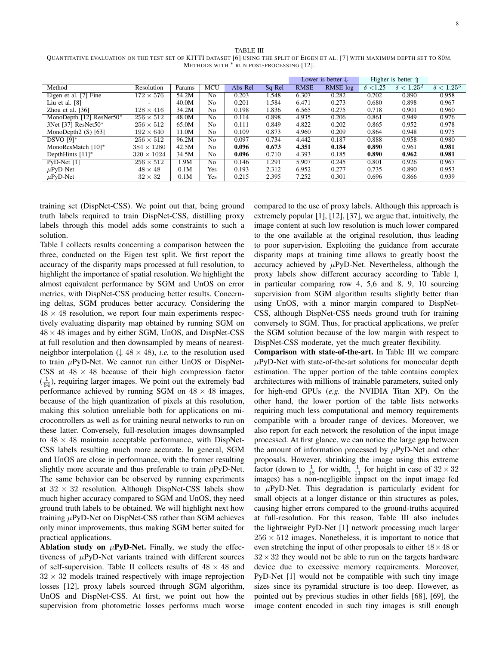| TABLE III                                                                                                                       |
|---------------------------------------------------------------------------------------------------------------------------------|
| OUANTITATIVE EVALUATION ON THE TEST SET OF KITTI DATASET [6] USING THE SPLIT OF EIGEN ET AL. [7] WITH MAXIMUM DEPTH SET TO 80M. |
| METHODS WITH * RUN POST-PROCESSING [12].                                                                                        |

|                          |                   |        |                |         |        |             | Lower is better $\Downarrow$ |                | Higher is better $\Uparrow$ |                   |
|--------------------------|-------------------|--------|----------------|---------|--------|-------------|------------------------------|----------------|-----------------------------|-------------------|
| Method                   | Resolution        | Params | <b>MCU</b>     | Abs Rel | Sq Rel | <b>RMSE</b> | RMSE log                     | $\delta$ <1.25 | $\delta < 1.25^2$           | $\delta < 1.25^3$ |
| Eigen et al. [7] Fine    | $172\times576$    | 54.2M  | N <sub>0</sub> | 0.203   | 1.548  | 6.307       | 0.282                        | 0.702          | 0.890                       | 0.958             |
| Liu et al. $[8]$         |                   | 40.0M  | N <sub>0</sub> | 0.201   | 1.584  | 6.471       | 0.273                        | 0.680          | 0.898                       | 0.967             |
| Zhou et al. $[36]$       | $128\times416$    | 34.2M  | N <sub>0</sub> | 0.198   | 1.836  | 6.565       | 0.275                        | 0.718          | 0.901                       | 0.960             |
| MonoDepth [12] ResNet50* | $256\times512$    | 48.0M  | N <sub>0</sub> | 0.114   | 0.898  | 4.935       | 0.206                        | 0.861          | 0.949                       | 0.976             |
| 3Net [37] ResNet50*      | $256 \times 512$  | 65.0M  | N <sub>0</sub> | 0.111   | 0.849  | 4.822       | 0.202                        | 0.865          | 0.952                       | 0.978             |
| MonoDepth $2(S)$ [63]    | $192\times640$    | 11.0M  | N <sub>0</sub> | 0.109   | 0.873  | 4.960       | 0.209                        | 0.864          | 0.948                       | 0.975             |
| <b>DSVO</b> [9]*         | $256 \times 512$  | 96.2M  | N <sub>0</sub> | 0.097   | 0.734  | 4.442       | 0.187                        | 0.888          | 0.958                       | 0.980             |
| MonoResMatch $[10]^*$    | $384 \times 1280$ | 42.5M  | N <sub>0</sub> | 0.096   | 0.673  | 4.351       | 0.184                        | 0.890          | 0.961                       | 0.981             |
| DepthHints $[11]^*$      | $320 \times 1024$ | 34.5M  | N <sub>0</sub> | 0.096   | 0.710  | 4.393       | 0.185                        | 0.890          | 0.962                       | 0.981             |
| $PvD-Net$ [1]            | $256 \times 512$  | 1.9M   | N <sub>0</sub> | 0.146   | 1.291  | 5.907       | 0.245                        | 0.801          | 0.926                       | 0.967             |
| $\mu$ PyD-Net            | $48 \times 48$    | 0.1M   | Yes            | 0.193   | 2.312  | 6.952       | 0.277                        | 0.735          | 0.890                       | 0.953             |
| $\mu$ PyD-Net            | $32 \times 32$    | 0.1M   | Yes            | 0.215   | 2.395  | 7.252       | 0.301                        | 0.696          | 0.866                       | 0.939             |

training set (DispNet-CSS). We point out that, being ground truth labels required to train DispNet-CSS, distilling proxy labels through this model adds some constraints to such a solution.

Table I collects results concerning a comparison between the three, conducted on the Eigen test split. We first report the accuracy of the disparity maps processed at full resolution, to highlight the importance of spatial resolution. We highlight the almost equivalent performance by SGM and UnOS on error metrics, with DispNet-CSS producing better results. Concerning deltas, SGM produces better accuracy. Considering the  $48 \times 48$  resolution, we report four main experiments respectively evaluating disparity map obtained by running SGM on  $48 \times 48$  images and by either SGM, UnOS, and DispNet-CSS at full resolution and then downsampled by means of nearestneighbor interpolation ( $\downarrow$  48  $\times$  48), *i.e.* to the resolution used to train  $\mu$ PyD-Net. We cannot run either UnOS or DispNet-CSS at  $48 \times 48$  because of their high compression factor  $(\frac{1}{64})$ , requiring larger images. We point out the extremely bad performance achieved by running SGM on  $48 \times 48$  images, because of the high quantization of pixels at this resolution, making this solution unreliable both for applications on microcontrollers as well as for training neural networks to run on these latter. Conversely, full-resolution images downsampled to  $48 \times 48$  maintain acceptable performance, with DispNet-CSS labels resulting much more accurate. In general, SGM and UnOS are close in performance, with the former resulting slightly more accurate and thus preferable to train  $\mu$ PyD-Net. The same behavior can be observed by running experiments at  $32 \times 32$  resolution. Although DispNet-CSS labels show much higher accuracy compared to SGM and UnOS, they need ground truth labels to be obtained. We will highlight next how training  $\mu$ PyD-Net on DispNet-CSS rather than SGM achieves only minor improvements, thus making SGM better suited for practical applications.

Ablation study on  $\mu$ PyD-Net. Finally, we study the effectiveness of  $\mu$ PyD-Net variants trained with different sources of self-supervision. Table II collects results of  $48 \times 48$  and  $32 \times 32$  models trained respectively with image reprojection losses [12], proxy labels sourced through SGM algorithm, UnOS and DispNet-CSS. At first, we point out how the supervision from photometric losses performs much worse compared to the use of proxy labels. Although this approach is extremely popular [1], [12], [37], we argue that, intuitively, the image content at such low resolution is much lower compared to the one available at the original resolution, thus leading to poor supervision. Exploiting the guidance from accurate disparity maps at training time allows to greatly boost the accuracy achieved by  $\mu$ PyD-Net. Nevertheless, although the proxy labels show different accuracy according to Table I, in particular comparing row 4, 5,6 and 8, 9, 10 sourcing supervision from SGM algorithm results slightly better than using UnOS, with a minor margin compared to DispNet-CSS, although DispNet-CSS needs ground truth for training conversely to SGM. Thus, for practical applications, we prefer the SGM solution because of the low margin with respect to DispNet-CSS moderate, yet the much greater flexibility.

Comparison with state-of-the-art. In Table III we compare  $\mu$ PyD-Net with state-of-the-art solutions for monocular depth estimation. The upper portion of the table contains complex architectures with millions of trainable parameters, suited only for high-end GPUs (*e.g.* the NVIDIA Titan XP). On the other hand, the lower portion of the table lists networks requiring much less computational and memory requirements compatible with a broader range of devices. Moreover, we also report for each network the resolution of the input image processed. At first glance, we can notice the large gap between the amount of information processed by  $\mu$ PyD-Net and other proposals. However, shrinking the image using this extreme factor (down to  $\frac{1}{38}$  for width,  $\frac{1}{11}$  for height in case of  $32 \times 32$ images) has a non-negligible impact on the input image fed to  $\mu$ PyD-Net. This degradation is particularly evident for small objects at a longer distance or thin structures as poles, causing higher errors compared to the ground-truths acquired at full-resolution. For this reason, Table III also includes the lightweight PyD-Net [1] network processing much larger  $256 \times 512$  images. Nonetheless, it is important to notice that even stretching the input of other proposals to either  $48 \times 48$  or  $32 \times 32$  they would not be able to run on the targets hardware device due to excessive memory requirements. Moreover, PyD-Net [1] would not be compatible with such tiny image sizes since its pyramidal structure is too deep. However, as pointed out by previous studies in other fields [68], [69], the image content encoded in such tiny images is still enough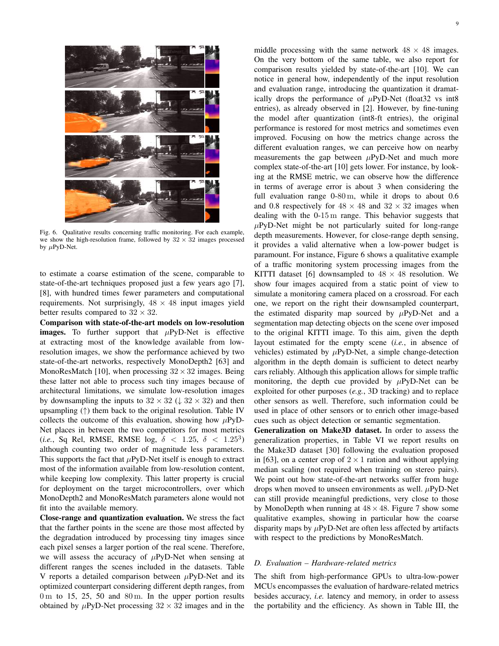

Fig. 6. Qualitative results concerning traffic monitoring. For each example, we show the high-resolution frame, followed by  $32 \times 32$  images processed by  $\mu$ PyD-Net.

to estimate a coarse estimation of the scene, comparable to state-of-the-art techniques proposed just a few years ago [7], [8], with hundred times fewer parameters and computational requirements. Not surprisingly,  $48 \times 48$  input images yield better results compared to  $32 \times 32$ .

Comparison with state-of-the-art models on low-resolution images. To further support that  $\mu$ PyD-Net is effective at extracting most of the knowledge available from lowresolution images, we show the performance achieved by two state-of-the-art networks, respectively MonoDepth2 [63] and MonoResMatch [10], when processing  $32 \times 32$  images. Being these latter not able to process such tiny images because of architectural limitations, we simulate low-resolution images by downsampling the inputs to  $32 \times 32$  ( $\downarrow 32 \times 32$ ) and then upsampling  $(†)$  them back to the original resolution. Table IV collects the outcome of this evaluation, showing how  $\mu$ PyD-Net places in between the two competitors for most metrics (*i.e.*, Sq Rel, RMSE, RMSE log,  $\delta$  < 1.25,  $\delta$  < 1.25<sup>3</sup>) although counting two order of magnitude less parameters. This supports the fact that  $\mu$ PyD-Net itself is enough to extract most of the information available from low-resolution content, while keeping low complexity. This latter property is crucial for deployment on the target microcontrollers, over which MonoDepth2 and MonoResMatch parameters alone would not fit into the available memory.

Close-range and quantization evaluation. We stress the fact that the farther points in the scene are those most affected by the degradation introduced by processing tiny images since each pixel senses a larger portion of the real scene. Therefore, we will assess the accuracy of  $\mu$ PyD-Net when sensing at different ranges the scenes included in the datasets. Table V reports a detailed comparison between  $\mu$ PyD-Net and its optimized counterpart considering different depth ranges, from  $0 \text{ m}$  to 15, 25, 50 and  $80 \text{ m}$ . In the upper portion results obtained by  $\mu$ PyD-Net processing  $32 \times 32$  images and in the

middle processing with the same network  $48 \times 48$  images. On the very bottom of the same table, we also report for comparison results yielded by state-of-the-art [10]. We can notice in general how, independently of the input resolution and evaluation range, introducing the quantization it dramatically drops the performance of  $\mu$ PyD-Net (float 32 vs int8 entries), as already observed in [2]. However, by fine-tuning the model after quantization (int8-ft entries), the original performance is restored for most metrics and sometimes even improved. Focusing on how the metrics change across the different evaluation ranges, we can perceive how on nearby measurements the gap between  $\mu$ PyD-Net and much more complex state-of-the-art [10] gets lower. For instance, by looking at the RMSE metric, we can observe how the difference in terms of average error is about 3 when considering the full evaluation range 0-80 m, while it drops to about 0.6 and 0.8 respectively for  $48 \times 48$  and  $32 \times 32$  images when dealing with the 0-15 m range. This behavior suggests that  $\mu$ PyD-Net might be not particularly suited for long-range depth measurements. However, for close-range depth sensing, it provides a valid alternative when a low-power budget is paramount. For instance, Figure 6 shows a qualitative example of a traffic monitoring system processing images from the KITTI dataset [6] downsampled to  $48 \times 48$  resolution. We show four images acquired from a static point of view to simulate a monitoring camera placed on a crossroad. For each one, we report on the right their downsampled counterpart, the estimated disparity map sourced by  $\mu$ PyD-Net and a segmentation map detecting objects on the scene over imposed to the original KITTI image. To this aim, given the depth layout estimated for the empty scene (*i.e.*, in absence of vehicles) estimated by  $\mu$ PyD-Net, a simple change-detection algorithm in the depth domain is sufficient to detect nearby cars reliably. Although this application allows for simple traffic monitoring, the depth cue provided by  $\mu$ PyD-Net can be exploited for other purposes (*e.g.*, 3D tracking) and to replace other sensors as well. Therefore, such information could be used in place of other sensors or to enrich other image-based cues such as object detection or semantic segmentation.

Generalization on Make3D dataset. In order to assess the generalization properties, in Table VI we report results on the Make3D dataset [30] following the evaluation proposed in [63], on a center crop of  $2 \times 1$  ration and without applying median scaling (not required when training on stereo pairs). We point out how state-of-the-art networks suffer from huge drops when moved to unseen environments as well.  $\mu$ PyD-Net can still provide meaningful predictions, very close to those by MonoDepth when running at  $48 \times 48$ . Figure 7 show some qualitative examples, showing in particular how the coarse disparity maps by  $\mu$ PyD-Net are often less affected by artifacts with respect to the predictions by MonoResMatch.

#### *D. Evaluation – Hardware-related metrics*

The shift from high-performance GPUs to ultra-low-power MCUs encompasses the evaluation of hardware-related metrics besides accuracy, *i.e.* latency and memory, in order to assess the portability and the efficiency. As shown in Table III, the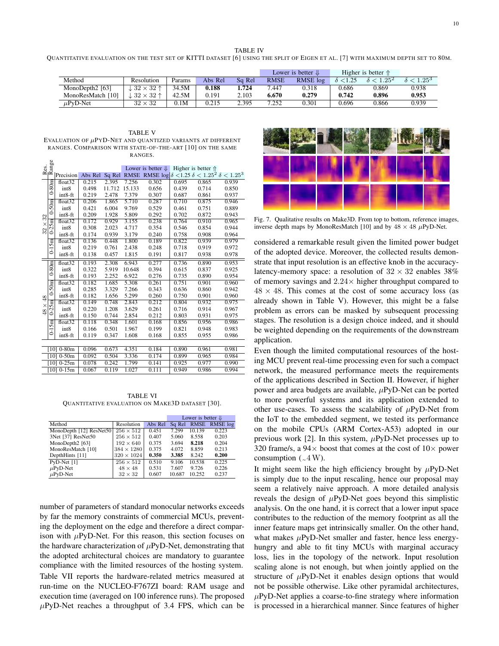TABLE IV

QUANTITATIVE EVALUATION ON THE TEST SET OF KITTI DATASET [6] USING THE SPLIT OF EIGEN ET AL. [7] WITH MAXIMUM DEPTH SET TO 80M.

|                   |                   |        |         |        |             | Lower is better $\downarrow$ |                 | Higher is better $\Uparrow$ |                   |
|-------------------|-------------------|--------|---------|--------|-------------|------------------------------|-----------------|-----------------------------|-------------------|
| Method            | Resolution        | Params | Abs Rel | Sa Rel | <b>RMSE</b> | RMSE log                     | $\delta$ < 1.25 | $\frac{\varsigma}{1.25^2}$  | $\delta < 1.25^3$ |
| MonoDepth2 [63]   | $.32 \times 32$ ↑ | 34.5M  | 0.188   | 1.724  | 7.447       | 0.318                        | 0.686           | 0.869                       | 0.938             |
| MonoResMatch [10] | $.32 \times 32$ ↑ | 42.5M  | 0.191   | 2.103  | 6.670       | 0.279                        | 0.742           | 0.896                       | 0.953             |
| $\mu$ PyD-Net     | $32 \times 32$    | 0.1M   | 0.215   | 2.395  | 7.252       | 0.301                        | 0.696           | 0.866                       | 0.939             |

TABLE V EVALUATION OF  $\mu$ PYD-NET AND QUANTIZED VARIANTS AT DIFFERENT RANGES. COMPARISON WITH STATE-OF-THE-ART [10] ON THE SAME RANGES.

|          | $\frac{Res.}{Range}$ |                     |         |        |             |                                                                                     |                           |       |       |
|----------|----------------------|---------------------|---------|--------|-------------|-------------------------------------------------------------------------------------|---------------------------|-------|-------|
|          |                      |                     |         |        |             | Lower is better $\Downarrow$                                                        | <b>Higher</b> is better 介 |       |       |
|          |                      | Precision           | Abs Rel | Sq Rel | <b>RMSE</b> | RMSE $\log \delta$ < 1.25 $\delta$ < 1.25 <sup>2</sup> $\delta$ < 1.25 <sup>3</sup> |                           |       |       |
|          | $0-80m$              | float <sub>32</sub> | 0.215   | 2.395  | 7.256       | 0.302                                                                               | 0.695                     | 0.865 | 0.939 |
|          |                      | int8                | 0.498   | 11.712 | 15.133      | 0.656                                                                               | 0.439                     | 0.714 | 0.850 |
|          |                      | int8-ft             | 0.219   | 2.478  | 7.379       | 0.307                                                                               | 0.687                     | 0.861 | 0.937 |
|          | 50m                  | float32             | 0.206   | 1.865  | 5.710       | 0.287                                                                               | 0.710                     | 0.875 | 0.946 |
|          | é                    | int8                | 0.421   | 6.004  | 9.769       | 0.529                                                                               | 0.461                     | 0.751 | 0.889 |
| 32       |                      | int8-ft             | 0.209   | 1.928  | 5.809       | 0.292                                                                               | 0.702                     | 0.872 | 0.943 |
| $\times$ | $0-25m$              | float <sub>32</sub> | 0.172   | 0.929  | 3.155       | 0.238                                                                               | 0.764                     | 0.910 | 0.965 |
| 32       |                      | int8                | 0.308   | 2.023  | 4.717       | 0.354                                                                               | 0.546                     | 0.854 | 0.944 |
|          |                      | int8-ft             | 0.174   | 0.939  | 3.179       | 0.240                                                                               | 0.758                     | 0.908 | 0.964 |
|          |                      | float <sub>32</sub> | 0.136   | 0.448  | 1.800       | 0.189                                                                               | 0.822                     | 0.939 | 0.979 |
|          | $0-15m$              | int8                | 0.219   | 0.761  | 2.438       | 0.248                                                                               | 0.718                     | 0.919 | 0.972 |
|          |                      | int8-ft             | 0.138   | 0.457  | 1.815       | 0.191                                                                               | 0.817                     | 0.938 | 0.978 |
|          |                      | float <sub>32</sub> | 0.193   | 2.308  | 6.943       | 0.277                                                                               | 0.736                     | 0.890 | 0.953 |
|          | $0-80m$              | int8                | 0.322   | 5.919  | 10.648      | 0.394                                                                               | 0.615                     | 0.837 | 0.925 |
|          |                      | $int8-ft$           | 0.193   | 2.252  | 6.922       | 0.276                                                                               | 0.735                     | 0.890 | 0.954 |
|          | $0-50m$              | float32             | 0.182   | 1.685  | 5.308       | 0.261                                                                               | 0.751                     | 0.901 | 0.960 |
|          |                      | int8                | 0.285   | 3.329  | 7.266       | 0.343                                                                               | 0.636                     | 0.860 | 0.942 |
| $48$     |                      | int8-ft             | 0.182   | 1.656  | 5.299       | 0.260                                                                               | 0.750                     | 0.901 | 0.960 |
| $\times$ | $0-25m$              | float32             | 0.149   | 0.748  | 2.843       | 0.212                                                                               | 0.804                     | 0.932 | 0.975 |
| 48       |                      | int8                | 0.220   | 1.208  | 3.629       | 0.261                                                                               | 0.716                     | 0.914 | 0.967 |
|          |                      | int8-ft             | 0.150   | 0.744  | 2.854       | 0.212                                                                               | 0.803                     | 0.931 | 0.975 |
|          |                      | float <sub>32</sub> | 0.118   | 0.348  | 1.601       | 0.168                                                                               | 0.856                     | 0.956 | 0.986 |
|          | $0-15m$              | int8                | 0.166   | 0.501  | 1.967       | 0.199                                                                               | 0.821                     | 0.948 | 0.983 |
|          |                      | int8-ft             | 0.119   | 0.347  | 1.608       | 0.168                                                                               | 0.855                     | 0.955 | 0.986 |
|          |                      |                     |         |        |             |                                                                                     |                           |       |       |
|          |                      | $[10]$ 0-80m        | 0.096   | 0.673  | 4.351       | 0.184                                                                               | 0.890                     | 0.961 | 0.981 |
|          |                      | $[10]$ 0-50m        | 0.092   | 0.504  | 3.336       | 0.174                                                                               | 0.899                     | 0.965 | 0.984 |
|          |                      | $[10]$ 0-25m        | 0.078   | 0.242  | 1.799       | 0.141                                                                               | 0.925                     | 0.977 | 0.990 |
|          |                      | $[10]$ 0-15m        | 0.067   | 0.119  | 1.027       | 0.111                                                                               | 0.949                     | 0.986 | 0.994 |

TABLE VI QUANTITATIVE EVALUATION ON MAKE3D DATASET [30].

|                         |                   |         |        | Lower is better $\downarrow$ |               |
|-------------------------|-------------------|---------|--------|------------------------------|---------------|
| Method                  | Resolution        | Abs Rel | Sq Rel |                              | RMSE RMSE log |
| MonoDepth [12] ResNet50 | $256 \times 512$  | 0.451   | 7.299  | 10.139                       | 0.223         |
| 3Net [37] ResNet50      | $256 \times 512$  | 0.407   | 5.060  | 8.558                        | 0.203         |
| MonoDepth2 [63]         | $192 \times 640$  | 0.375   | 3.694  | 8.218                        | 0.204         |
| MonoResMatch [10]       | $384 \times 1280$ | 0.375   | 4.072  | 8.859                        | 0.213         |
| DepthHints [11]         | $320 \times 1024$ | 0.350   | 3.385  | 8.242                        | 0.200         |
| $PvD-Net$ [1]           | $256 \times 512$  | 0.510   | 9.106  | 10.538                       | 0.225         |
| $\mu$ PyD-Net           | $48 \times 48$    | 0.531   | 7.607  | 9.726                        | 0.226         |
| $\mu$ PyD-Net           | $32 \times 32$    | 0.607   | 10.687 | 10.252                       | 0.237         |

number of parameters of standard monocular networks exceeds by far the memory constraints of commercial MCUs, preventing the deployment on the edge and therefore a direct comparison with  $\mu$ PyD-Net. For this reason, this section focuses on the hardware characterization of  $\mu$ PyD-Net, demonstrating that the adopted architectural choices are mandatory to guarantee compliance with the limited resources of the hosting system. Table VII reports the hardware-related metrics measured at run-time on the NUCLEO-F767ZI board: RAM usage and execution time (averaged on 100 inference runs). The proposed  $\mu$ PyD-Net reaches a throughput of 3.4 FPS, which can be



Fig. 7. Qualitative results on Make3D. From top to bottom, reference images, inverse depth maps by MonoResMatch [10] and by  $48 \times 48 \mu$ PyD-Net.

considered a remarkable result given the limited power budget of the adopted device. Moreover, the collected results demonstrate that input resolution is an effective knob in the accuracylatency-memory space: a resolution of  $32 \times 32$  enables 38% of memory savings and  $2.24\times$  higher throughput compared to  $48 \times 48$ . This comes at the cost of some accuracy loss (as already shown in Table V). However, this might be a false problem as errors can be masked by subsequent processing stages. The resolution is a design choice indeed, and it should be weighted depending on the requirements of the downstream application.

Even though the limited computational resources of the hosting MCU prevent real-time processing even for such a compact network, the measured performance meets the requirements of the applications described in Section II. However, if higher power and area budgets are available,  $\mu$ PyD-Net can be ported to more powerful systems and its application extended to other use-cases. To assess the scalability of  $\mu$ PyD-Net from the IoT to the embedded segment, we tested its performance on the mobile CPUs (ARM Cortex-A53) adopted in our previous work [2]. In this system,  $\mu$ PyD-Net processes up to 320 frame/s, a  $94 \times$  boost that comes at the cost of  $10 \times$  power consumption  $({}_{\sim}4\,\mathrm{W})$ .

It might seem like the high efficiency brought by  $\mu$ PyD-Net is simply due to the input rescaling, hence our proposal may seem a relatively naive approach. A more detailed analysis reveals the design of  $\mu$ PyD-Net goes beyond this simplistic analysis. On the one hand, it is correct that a lower input space contributes to the reduction of the memory footprint as all the inner feature maps get intrinsically smaller. On the other hand, what makes  $\mu$ PyD-Net smaller and faster, hence less energyhungry and able to fit tiny MCUs with marginal accuracy loss, lies in the topology of the network. Input resolution scaling alone is not enough, but when jointly applied on the structure of  $\mu$ PyD-Net it enables design options that would not be possible otherwise. Like other pyramidal architectures,  $\mu$ PyD-Net applies a coarse-to-fine strategy where information is processed in a hierarchical manner. Since features of higher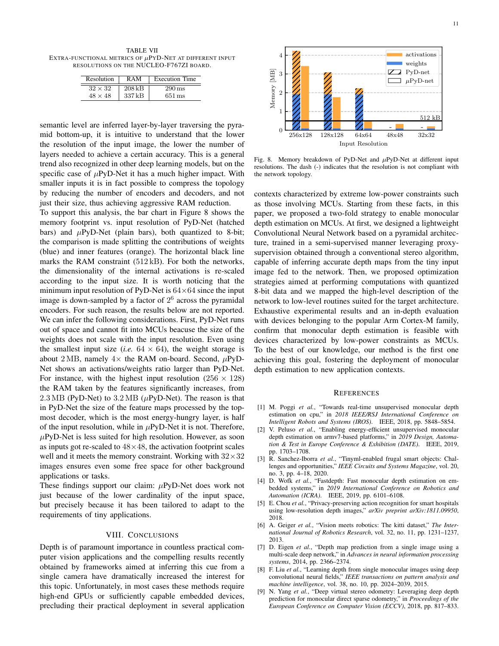TABLE VII EXTRA-FUNCTIONAL METRICS OF  $\mu$ PYD-NET AT DIFFERENT INPUT RESOLUTIONS ON THE NUCLEO-F767ZI BOARD.

| Resolution     | R A M    | <b>Execution Time</b> |
|----------------|----------|-----------------------|
| $32 \times 32$ | $208$ kB | $290 \,\mathrm{ms}$   |
| $48 \times 48$ | 337 kB   | 651 ms                |

semantic level are inferred layer-by-layer traversing the pyramid bottom-up, it is intuitive to understand that the lower the resolution of the input image, the lower the number of layers needed to achieve a certain accuracy. This is a general trend also recognized in other deep learning models, but on the specific case of  $\mu$ PyD-Net it has a much higher impact. With smaller inputs it is in fact possible to compress the topology by reducing the number of encoders and decoders, and not just their size, thus achieving aggressive RAM reduction.

To support this analysis, the bar chart in Figure 8 shows the memory footprint vs. input resolution of PyD-Net (hatched bars) and  $\mu$ PyD-Net (plain bars), both quantized to 8-bit; the comparison is made splitting the contributions of weights (blue) and inner features (orange). The horizontal black line marks the RAM constraint (512 kB). For both the networks, the dimensionality of the internal activations is re-scaled according to the input size. It is worth noticing that the minimum input resolution of PyD-Net is  $64\times64$  since the input image is down-sampled by a factor of  $2^6$  across the pyramidal encoders. For such reason, the results below are not reported. We can infer the following considerations. First, PyD-Net runs out of space and cannot fit into MCUs beacuse the size of the weights does not scale with the input resolution. Even using the smallest input size (*i.e.*  $64 \times 64$ ), the weight storage is about 2 MB, namely  $4\times$  the RAM on-board. Second,  $\mu$ PyD-Net shows an activations/weights ratio larger than PyD-Net. For instance, with the highest input resolution ( $256 \times 128$ ) the RAM taken by the features significantly increases, from  $2.3 \text{ MB}$  (PyD-Net) to  $3.2 \text{ MB}$  ( $\mu$ PyD-Net). The reason is that in PyD-Net the size of the feature maps processed by the topmost decoder, which is the most energy-hungry layer, is half of the input resolution, while in  $\mu$ PyD-Net it is not. Therefore,  $\mu$ PyD-Net is less suited for high resolution. However, as soon as inputs got re-scaled to  $48\times48$ , the activation footprint scales well and it meets the memory constraint. Working with  $32 \times 32$ images ensures even some free space for other background applications or tasks.

These findings support our claim:  $\mu$ PyD-Net does work not just because of the lower cardinality of the input space, but precisely because it has been tailored to adapt to the requirements of tiny applications.

# VIII. CONCLUSIONS

Depth is of paramount importance in countless practical computer vision applications and the compelling results recently obtained by frameworks aimed at inferring this cue from a single camera have dramatically increased the interest for this topic. Unfortunately, in most cases these methods require high-end GPUs or sufficiently capable embedded devices, precluding their practical deployment in several application



Fig. 8. Memory breakdown of PyD-Net and  $\mu$ PyD-Net at different input resolutions. The dash (-) indicates that the resolution is not compliant with the network topology.

contexts characterized by extreme low-power constraints such as those involving MCUs. Starting from these facts, in this paper, we proposed a two-fold strategy to enable monocular depth estimation on MCUs. At first, we designed a lightweight Convolutional Neural Network based on a pyramidal architecture, trained in a semi-supervised manner leveraging proxysupervision obtained through a conventional stereo algorithm, capable of inferring accurate depth maps from the tiny input image fed to the network. Then, we proposed optimization strategies aimed at performing computations with quantized 8-bit data and we mapped the high-level description of the network to low-level routines suited for the target architecture. Exhaustive experimental results and an in-depth evaluation with devices belonging to the popular Arm Cortex-M family, confirm that monocular depth estimation is feasible with devices characterized by low-power constraints as MCUs. To the best of our knowledge, our method is the first one achieving this goal, fostering the deployment of monocular depth estimation to new application contexts.

#### **REFERENCES**

- [1] M. Poggi *et al.*, "Towards real-time unsupervised monocular depth estimation on cpu," in *2018 IEEE/RSJ International Conference on Intelligent Robots and Systems (IROS)*. IEEE, 2018, pp. 5848–5854.
- [2] V. Peluso *et al.*, "Enabling energy-efficient unsupervised monocular depth estimation on armv7-based platforms," in *2019 Design, Automation & Test in Europe Conference & Exhibition (DATE)*. IEEE, 2019, pp. 1703–1708.
- [3] R. Sanchez-Iborra *et al.*, "Tinyml-enabled frugal smart objects: Challenges and opportunities," *IEEE Circuits and Systems Magazine*, vol. 20, no. 3, pp. 4–18, 2020.
- [4] D. Wofk et al., "Fastdepth: Fast monocular depth estimation on embedded systems," in *2019 International Conference on Robotics and Automation (ICRA)*. IEEE, 2019, pp. 6101–6108.
- [5] E. Chou *et al.*, "Privacy-preserving action recognition for smart hospitals using low-resolution depth images," *arXiv preprint arXiv:1811.09950*, 2018.
- [6] A. Geiger *et al.*, "Vision meets robotics: The kitti dataset," *The International Journal of Robotics Research*, vol. 32, no. 11, pp. 1231–1237, 2013.
- [7] D. Eigen *et al.*, "Depth map prediction from a single image using a multi-scale deep network," in *Advances in neural information processing systems*, 2014, pp. 2366–2374.
- [8] F. Liu *et al.*, "Learning depth from single monocular images using deep convolutional neural fields," *IEEE transactions on pattern analysis and machine intelligence*, vol. 38, no. 10, pp. 2024–2039, 2015.
- [9] N. Yang *et al.*, "Deep virtual stereo odometry: Leveraging deep depth prediction for monocular direct sparse odometry," in *Proceedings of the European Conference on Computer Vision (ECCV)*, 2018, pp. 817–833.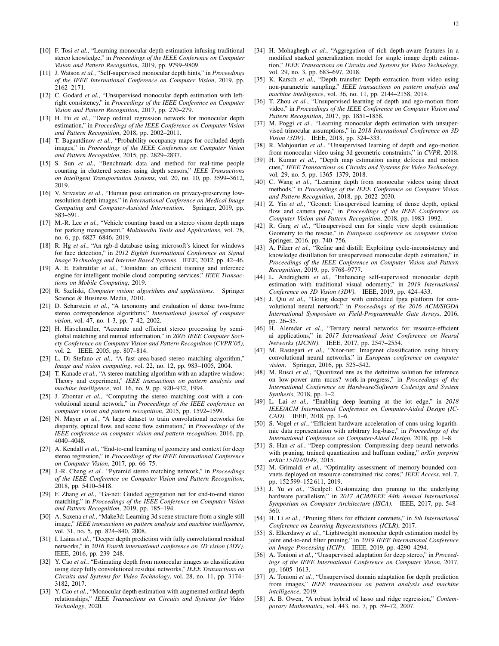- [10] F. Tosi *et al.*, "Learning monocular depth estimation infusing traditional stereo knowledge," in *Proceedings of the IEEE Conference on Computer Vision and Pattern Recognition*, 2019, pp. 9799–9809.
- [11] J. Watson *et al.*, "Self-supervised monocular depth hints," in *Proceedings of the IEEE International Conference on Computer Vision*, 2019, pp. 2162–2171.
- [12] C. Godard *et al.*, "Unsupervised monocular depth estimation with leftright consistency," in *Proceedings of the IEEE Conference on Computer Vision and Pattern Recognition*, 2017, pp. 270–279.
- [13] H. Fu *et al.*, "Deep ordinal regression network for monocular depth estimation," in *Proceedings of the IEEE Conference on Computer Vision and Pattern Recognition*, 2018, pp. 2002–2011.
- [14] T. Bagautdinov *et al.*, "Probability occupancy maps for occluded depth images," in *Proceedings of the IEEE Conference on Computer Vision and Pattern Recognition*, 2015, pp. 2829–2837.
- [15] S. Sun *et al.*, "Benchmark data and method for real-time people counting in cluttered scenes using depth sensors," *IEEE Transactions on Intelligent Transportation Systems*, vol. 20, no. 10, pp. 3599–3612, 2019.
- [16] V. Srivastav *et al.*, "Human pose estimation on privacy-preserving lowresolution depth images," in *International Conference on Medical Image Computing and Computer-Assisted Intervention*. Springer, 2019, pp. 583–591.
- [17] M.-R. Lee *et al.*, "Vehicle counting based on a stereo vision depth maps for parking management," *Multimedia Tools and Applications*, vol. 78, no. 6, pp. 6827–6846, 2019.
- [18] R. Hg *et al.*, "An rgb-d database using microsoft's kinect for windows for face detection," in *2012 Eighth International Conference on Signal Image Technology and Internet Based Systems*. IEEE, 2012, pp. 42–46.
- [19] A. E. Eshratifar *et al.*, "Jointdnn: an efficient training and inference engine for intelligent mobile cloud computing services," *IEEE Transactions on Mobile Computing*, 2019.
- [20] R. Szeliski, *Computer vision: algorithms and applications*. Springer Science & Business Media, 2010.
- [21] D. Scharstein *et al.*, "A taxonomy and evaluation of dense two-frame stereo correspondence algorithms," *International journal of computer vision*, vol. 47, no. 1-3, pp. 7–42, 2002.
- [22] H. Hirschmuller, "Accurate and efficient stereo processing by semiglobal matching and mutual information," in *2005 IEEE Computer Society Conference on Computer Vision and Pattern Recognition (CVPR'05)*, vol. 2. IEEE, 2005, pp. 807–814.
- [23] L. Di Stefano et al., "A fast area-based stereo matching algorithm," *Image and vision computing*, vol. 22, no. 12, pp. 983–1005, 2004.
- [24] T. Kanade *et al.*, "A stereo matching algorithm with an adaptive window: Theory and experiment," *IEEE transactions on pattern analysis and machine intelligence*, vol. 16, no. 9, pp. 920–932, 1994.
- [25] J. Zbontar *et al.*, "Computing the stereo matching cost with a convolutional neural network," in *Proceedings of the IEEE conference on computer vision and pattern recognition*, 2015, pp. 1592–1599.
- [26] N. Mayer *et al.*, "A large dataset to train convolutional networks for disparity, optical flow, and scene flow estimation," in *Proceedings of the IEEE conference on computer vision and pattern recognition*, 2016, pp. 4040–4048.
- [27] A. Kendall *et al.*, "End-to-end learning of geometry and context for deep stereo regression," in *Proceedings of the IEEE International Conference on Computer Vision*, 2017, pp. 66–75.
- [28] J.-R. Chang *et al.*, "Pyramid stereo matching network," in *Proceedings of the IEEE Conference on Computer Vision and Pattern Recognition*, 2018, pp. 5410–5418.
- [29] F. Zhang *et al.*, "Ga-net: Guided aggregation net for end-to-end stereo matching," in *Proceedings of the IEEE Conference on Computer Vision and Pattern Recognition*, 2019, pp. 185–194.
- [30] A. Saxena *et al.*, "Make3d: Learning 3d scene structure from a single still image," *IEEE transactions on pattern analysis and machine intelligence*, vol. 31, no. 5, pp. 824–840, 2008.
- [31] I. Laina et al., "Deeper depth prediction with fully convolutional residual networks," in *2016 Fourth international conference on 3D vision (3DV)*. IEEE, 2016, pp. 239–248.
- [32] Y. Cao *et al.*, "Estimating depth from monocular images as classification using deep fully convolutional residual networks," *IEEE Transactions on Circuits and Systems for Video Technology*, vol. 28, no. 11, pp. 3174– 3182, 2017.
- [33] Y. Cao et al., "Monocular depth estimation with augmented ordinal depth relationships," *IEEE Transactions on Circuits and Systems for Video Technology*, 2020.
- [34] H. Mohaghegh *et al.*, "Aggregation of rich depth-aware features in a modified stacked generalization model for single image depth estimation," *IEEE Transactions on Circuits and Systems for Video Technology*, vol. 29, no. 3, pp. 683–697, 2018.
- [35] K. Karsch *et al.*, "Depth transfer: Depth extraction from video using non-parametric sampling," *IEEE transactions on pattern analysis and machine intelligence*, vol. 36, no. 11, pp. 2144–2158, 2014.
- [36] T. Zhou *et al.*, "Unsupervised learning of depth and ego-motion from video," in *Proceedings of the IEEE Conference on Computer Vision and Pattern Recognition*, 2017, pp. 1851–1858.
- [37] M. Poggi et al., "Learning monocular depth estimation with unsupervised trinocular assumptions," in *2018 International Conference on 3D Vision (3DV)*. IEEE, 2018, pp. 324–333.
- [38] R. Mahjourian *et al.*, "Unsupervised learning of depth and ego-motion from monocular video using 3d geometric constraints," in *CVPR*, 2018.
- [39] H. Kumar *et al.*, "Depth map estimation using defocus and motion cues," *IEEE Transactions on Circuits and Systems for Video Technology*, vol. 29, no. 5, pp. 1365–1379, 2018.
- [40] C. Wang *et al.*, "Learning depth from monocular videos using direct methods," in *Proceedings of the IEEE Conference on Computer Vision and Pattern Recognition*, 2018, pp. 2022–2030.
- [41] Z. Yin *et al.*, "Geonet: Unsupervised learning of dense depth, optical flow and camera pose," in *Proceedings of the IEEE Conference on Computer Vision and Pattern Recognition*, 2018, pp. 1983–1992.
- [42] R. Garg *et al.*, "Unsupervised cnn for single view depth estimation: Geometry to the rescue," in *European conference on computer vision*. Springer, 2016, pp. 740–756.
- [43] A. Pilzer et al., "Refine and distill: Exploiting cycle-inconsistency and knowledge distillation for unsupervised monocular depth estimation," in *Proceedings of the IEEE Conference on Computer Vision and Pattern Recognition*, 2019, pp. 9768–9777.
- [44] L. Andraghetti *et al.*, "Enhancing self-supervised monocular depth estimation with traditional visual odometry," in *2019 International Conference on 3D Vision (3DV)*. IEEE, 2019, pp. 424–433.
- [45] J. Qiu et al., "Going deeper with embedded fpga platform for convolutional neural network," in *Proceedings of the 2016 ACM/SIGDA International Symposium on Field-Programmable Gate Arrays*, 2016, pp. 26–35.
- [46] H. Alemdar *et al.*, "Ternary neural networks for resource-efficient ai applications," in *2017 International Joint Conference on Neural Networks (IJCNN)*. IEEE, 2017, pp. 2547–2554.
- [47] M. Rastegari *et al.*, "Xnor-net: Imagenet classification using binary convolutional neural networks," in *European conference on computer vision*. Springer, 2016, pp. 525–542.
- [48] M. Rusci et al., "Quantized nns as the definitive solution for inference on low-power arm mcus? work-in-progress," in *Proceedings of the International Conference on Hardware/Software Codesign and System Synthesis*, 2018, pp. 1–2.
- [49] L. Lai *et al.*, "Enabling deep learning at the iot edge," in *2018 IEEE/ACM International Conference on Computer-Aided Design (IC-CAD)*. IEEE, 2018, pp. 1–6.
- [50] S. Vogel *et al.*, "Efficient hardware acceleration of cnns using logarithmic data representation with arbitrary log-base," in *Proceedings of the International Conference on Computer-Aided Design*, 2018, pp. 1–8.
- [51] S. Han *et al.*, "Deep compression: Compressing deep neural networks with pruning, trained quantization and huffman coding," *arXiv preprint arXiv:1510.00149*, 2015.
- [52] M. Grimaldi et al., "Optimality assessment of memory-bounded convnets deployed on resource-constrained risc cores," *IEEE Access*, vol. 7, pp. 152 599–152 611, 2019.
- [53] J. Yu et al., "Scalpel: Customizing dnn pruning to the underlying hardware parallelism," in *2017 ACM/IEEE 44th Annual International Symposium on Computer Architecture (ISCA)*. IEEE, 2017, pp. 548– 560.
- [54] H. Li *et al.*, "Pruning filters for efficient convnets," in *5th International Conference on Learning Representations (ICLR)*, 2017.
- [55] S. Elkerdawy *et al.*, "Lightweight monocular depth estimation model by joint end-to-end filter pruning," in *2019 IEEE International Conference on Image Processing (ICIP)*. IEEE, 2019, pp. 4290–4294.
- [56] A. Tonioni *et al.*, "Unsupervised adaptation for deep stereo," in *Proceedings of the IEEE International Conference on Computer Vision*, 2017, pp. 1605–1613.
- [57] A. Tonioni *et al.*, "Unsupervised domain adaptation for depth prediction from images," *IEEE transactions on pattern analysis and machine intelligence*, 2019.
- [58] A. B. Owen, "A robust hybrid of lasso and ridge regression," *Contemporary Mathematics*, vol. 443, no. 7, pp. 59–72, 2007.